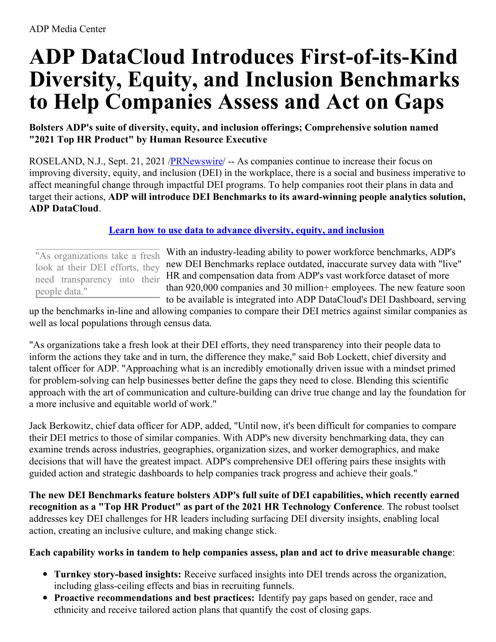# **ADP DataCloud Introduces First-of-its-Kind Diversity, Equity, and Inclusion Benchmarks to Help Companies Assess and Act on Gaps**

## **Bolsters ADP's suite of diversity, equity, and inclusion offerings; Comprehensive solution named "2021 Top HR Product" by Human Resource Executive**

ROSELAND, N.J., Sept. 21, 2021 [/PRNewswire](http://www.prnewswire.com/)/ -- As companies continue to increase their focus on improving diversity, equity, and inclusion (DEI) in the workplace, there is a social and business imperative to affect meaningful change through impactful DEI programs. To help companies root their plans in data and target their actions, **ADP will introduce DEI Benchmarks to its award-winning people analytics solution, ADP DataCloud**.

## **Learn how to use data to advance [diversity,](https://c212.net/c/link/?t=0&l=en&o=3297169-1&h=141689468&u=https%3A%2F%2Fs23.a2zinc.net%2Fclients%2Flrp%2Fhrtech2021%2FPublic%2FSessionDetails.aspx%3FFromPage%3DSessions.aspx%26SessionID%3D8348%26SessionDateID%3D253&a=Learn+how+to+use+data+to+advance+diversity%2C+equity%2C+and+inclusion) equity, and inclusion**

"As organizations take a fresh look at their DEI efforts, they need transparency into their people data."

With an industry-leading ability to power workforce benchmarks, ADP's new DEI Benchmarks replace outdated, inaccurate survey data with "live" HR and compensation data from ADP's vast workforce dataset of more than 920,000 companies and 30 million+ employees. The new feature soon to be available is integrated into ADP DataCloud's DEI Dashboard, serving

up the benchmarks in-line and allowing companies to compare their DEI metrics against similar companies as well as local populations through census data.

"As organizations take a fresh look at their DEI efforts, they need transparency into their people data to inform the actions they take and in turn, the difference they make," said Bob Lockett, chief diversity and talent officer for ADP. "Approaching what is an incredibly emotionally driven issue with a mindset primed for problem-solving can help businesses better define the gaps they need to close. Blending this scientific approach with the art of communication and culture-building can drive true change and lay the foundation for a more inclusive and equitable world of work."

Jack Berkowitz, chief data officer for ADP, added, "Until now, it's been difficult for companies to compare their DEI metrics to those of similar companies. With ADP's new diversity benchmarking data, they can examine trends across industries, geographies, organization sizes, and worker demographics, and make decisions that will have the greatest impact. ADP's comprehensive DEI offering pairs these insights with guided action and strategic dashboards to help companies track progress and achieve their goals."

**The new DEI Benchmarks feature bolsters ADP's full suite of DEI capabilities, which recently earned recognition as a "Top HR Product" as part of the 2021 HR Technology Conference**. The robust toolset addresses key DEI challenges for HR leaders including surfacing DEI diversity insights, enabling local action, creating an inclusive culture, and making change stick.

#### **Each capability works in tandem to help companies assess, plan and act to drive measurable change**:

- **Turnkey story-based insights:** Receive surfaced insights into DEI trends across the organization, including glass-ceiling effects and bias in recruiting funnels.
- **Proactive recommendations and best practices:** Identify pay gaps based on gender, race and ethnicity and receive tailored action plans that quantify the cost of closing gaps.